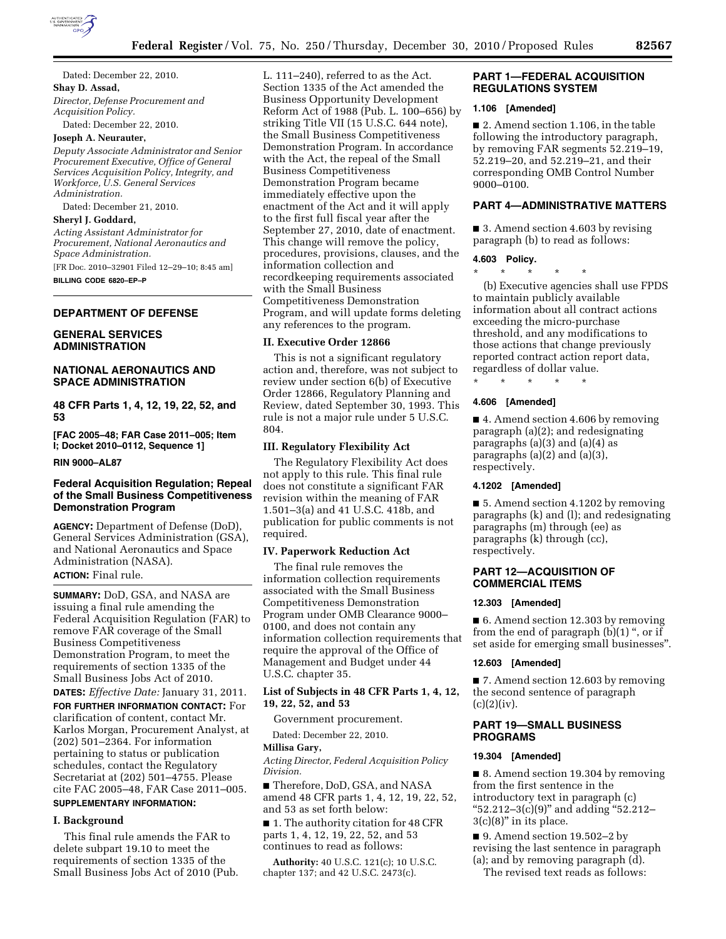

Dated: December 22, 2010. **Shay D. Assad,**  *Director, Defense Procurement and* 

*Acquisition Policy.*  Dated: December 22, 2010.

#### **Joseph A. Neurauter,**

*Deputy Associate Administrator and Senior Procurement Executive, Office of General Services Acquisition Policy, Integrity, and Workforce, U.S. General Services Administration.* 

Dated: December 21, 2010.

## **Sheryl J. Goddard,**

*Acting Assistant Administrator for Procurement, National Aeronautics and Space Administration.* 

[FR Doc. 2010–32901 Filed 12–29–10; 8:45 am]

**BILLING CODE 6820–EP–P** 

## **DEPARTMENT OF DEFENSE**

# **GENERAL SERVICES ADMINISTRATION**

# **NATIONAL AERONAUTICS AND SPACE ADMINISTRATION**

**48 CFR Parts 1, 4, 12, 19, 22, 52, and 53** 

**[FAC 2005–48; FAR Case 2011–005; Item I; Docket 2010–0112, Sequence 1]** 

### **RIN 9000–AL87**

## **Federal Acquisition Regulation; Repeal of the Small Business Competitiveness Demonstration Program**

**AGENCY:** Department of Defense (DoD), General Services Administration (GSA), and National Aeronautics and Space Administration (NASA). **ACTION:** Final rule.

**SUMMARY:** DoD, GSA, and NASA are issuing a final rule amending the Federal Acquisition Regulation (FAR) to remove FAR coverage of the Small Business Competitiveness Demonstration Program, to meet the requirements of section 1335 of the Small Business Jobs Act of 2010.

**DATES:** *Effective Date:* January 31, 2011. **FOR FURTHER INFORMATION CONTACT:** For clarification of content, contact Mr. Karlos Morgan, Procurement Analyst, at (202) 501–2364. For information pertaining to status or publication schedules, contact the Regulatory Secretariat at (202) 501–4755. Please cite FAC 2005–48, FAR Case 2011–005.

# **SUPPLEMENTARY INFORMATION:**

## **I. Background**

This final rule amends the FAR to delete subpart 19.10 to meet the requirements of section 1335 of the Small Business Jobs Act of 2010 (Pub. L. 111–240), referred to as the Act. Section 1335 of the Act amended the Business Opportunity Development Reform Act of 1988 (Pub. L. 100–656) by striking Title VII (15 U.S.C. 644 note), the Small Business Competitiveness Demonstration Program. In accordance with the Act, the repeal of the Small Business Competitiveness Demonstration Program became immediately effective upon the enactment of the Act and it will apply to the first full fiscal year after the September 27, 2010, date of enactment. This change will remove the policy, procedures, provisions, clauses, and the information collection and recordkeeping requirements associated with the Small Business Competitiveness Demonstration Program, and will update forms deleting any references to the program.

#### **II. Executive Order 12866**

This is not a significant regulatory action and, therefore, was not subject to review under section 6(b) of Executive Order 12866, Regulatory Planning and Review, dated September 30, 1993. This rule is not a major rule under 5 U.S.C. 804.

## **III. Regulatory Flexibility Act**

The Regulatory Flexibility Act does not apply to this rule. This final rule does not constitute a significant FAR revision within the meaning of FAR 1.501–3(a) and 41 U.S.C. 418b, and publication for public comments is not required.

#### **IV. Paperwork Reduction Act**

The final rule removes the information collection requirements associated with the Small Business Competitiveness Demonstration Program under OMB Clearance 9000– 0100, and does not contain any information collection requirements that require the approval of the Office of Management and Budget under 44 U.S.C. chapter 35.

## **List of Subjects in 48 CFR Parts 1, 4, 12, 19, 22, 52, and 53**

Government procurement.

Dated: December 22, 2010.

#### **Millisa Gary,**

*Acting Director, Federal Acquisition Policy Division.* 

■ Therefore, DoD, GSA, and NASA amend 48 CFR parts 1, 4, 12, 19, 22, 52, and 53 as set forth below:

■ 1. The authority citation for 48 CFR parts 1, 4, 12, 19, 22, 52, and 53 continues to read as follows:

**Authority:** 40 U.S.C. 121(c); 10 U.S.C. chapter 137; and 42 U.S.C. 2473(c).

## **PART 1—FEDERAL ACQUISITION REGULATIONS SYSTEM**

## **1.106 [Amended]**

■ 2. Amend section 1.106, in the table following the introductory paragraph, by removing FAR segments 52.219–19, 52.219–20, and 52.219–21, and their corresponding OMB Control Number 9000–0100.

## **PART 4—ADMINISTRATIVE MATTERS**

■ 3. Amend section 4.603 by revising paragraph (b) to read as follows:

#### **4.603 Policy.**

\* \* \* \* \* (b) Executive agencies shall use FPDS to maintain publicly available information about all contract actions exceeding the micro-purchase threshold, and any modifications to those actions that change previously reported contract action report data, regardless of dollar value.

\* \* \* \* \*

#### **4.606 [Amended]**

■ 4. Amend section 4.606 by removing paragraph (a)(2); and redesignating paragraphs (a)(3) and (a)(4) as paragraphs (a)(2) and (a)(3), respectively.

## **4.1202 [Amended]**

■ 5. Amend section 4.1202 by removing paragraphs (k) and (l); and redesignating paragraphs (m) through (ee) as paragraphs (k) through (cc), respectively.

## **PART 12—ACQUISITION OF COMMERCIAL ITEMS**

#### **12.303 [Amended]**

■ 6. Amend section 12.303 by removing from the end of paragraph  $(b)(1)$ ", or if set aside for emerging small businesses''.

### **12.603 [Amended]**

■ 7. Amend section 12.603 by removing the second sentence of paragraph  $(c)(2)(iv).$ 

## **PART 19—SMALL BUSINESS PROGRAMS**

## **19.304 [Amended]**

■ 8. Amend section 19.304 by removing from the first sentence in the introductory text in paragraph (c) ''52.212–3(c)(9)'' and adding ''52.212–  $3(c)(8)$ " in its place.

■ 9. Amend section 19.502–2 by revising the last sentence in paragraph (a); and by removing paragraph (d). The revised text reads as follows: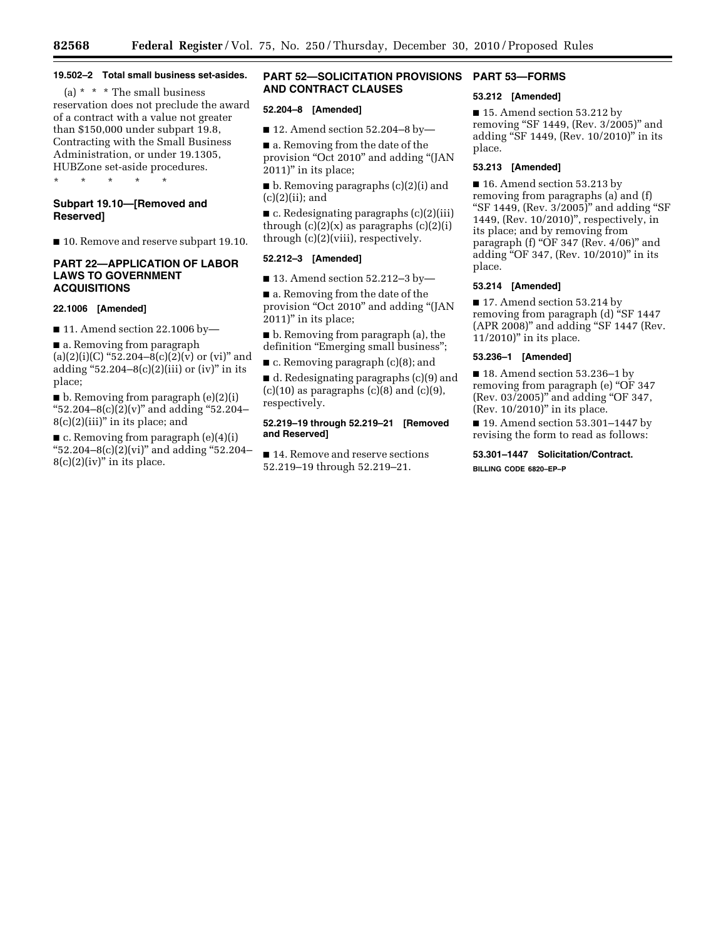# **19.502–2 Total small business set-asides.**

(a)  $* * * The small business$ reservation does not preclude the award of a contract with a value not greater than \$150,000 under subpart 19.8, Contracting with the Small Business Administration, or under 19.1305, HUBZone set-aside procedures.

\* \* \* \* \*

# **Subpart 19.10—[Removed and Reserved]**

■ 10. Remove and reserve subpart 19.10.

## **PART 22—APPLICATION OF LABOR LAWS TO GOVERNMENT ACQUISITIONS**

## **22.1006 [Amended]**

 $\blacksquare$  11. Amend section 22.1006 by-

■ a. Removing from paragraph (a)(2)(i)(C) "52.204-8(c)(2)(v) or (vi)" and adding "52.204-8 $(c)(2)(iii)$  or  $(iv)$ " in its place;

■ b. Removing from paragraph (e)(2)(i) "52.204-8(c)(2)(v)" and adding "52.204- $8(c)(2)(iii)$ " in its place; and

■ c. Removing from paragraph (e)(4)(i) "52.204–8(c)(2)(vi)" and adding "52.204–  $8(c)(2)(iv)$ " in its place.

## **PART 52—SOLICITATION PROVISIONS PART 53—FORMS AND CONTRACT CLAUSES**

# **52.204–8 [Amended]**

■ 12. Amend section 52.204–8 by—

■ a. Removing from the date of the provision "Oct 2010" and adding "(JAN 2011)'' in its place;

■ b. Removing paragraphs (c)(2)(i) and (c)(2)(ii); and

 $\blacksquare$  c. Redesignating paragraphs (c)(2)(iii) through  $(c)(2)(x)$  as paragraphs  $(c)(2)(i)$ through (c)(2)(viii), respectively.

# **52.212–3 [Amended]**

■ 13. Amend section 52.212–3 by—

■ a. Removing from the date of the provision "Oct 2010" and adding "(JAN 2011)'' in its place;

■ b. Removing from paragraph (a), the definition "Emerging small business";

■ c. Removing paragraph (c)(8); and

■ d. Redesignating paragraphs (c)(9) and  $(c)(10)$  as paragraphs  $(c)(8)$  and  $(c)(9)$ , respectively.

# **52.219–19 through 52.219–21 [Removed and Reserved]**

■ 14. Remove and reserve sections 52.219–19 through 52.219–21.

# **53.212 [Amended]**

■ 15. Amend section 53.212 by removing "SF 1449, (Rev. 3/2005)" and adding ''SF 1449, (Rev. 10/2010)'' in its place.

## **53.213 [Amended]**

■ 16. Amend section 53.213 by removing from paragraphs (a) and (f) "SF 1449, (Rev. 3/2005)" and adding "SF 1449, (Rev. 10/2010)'', respectively, in its place; and by removing from paragraph (f) "OF 347 (Rev.  $4/06$ )" and adding "OF 347, (Rev. 10/2010)" in its place.

# **53.214 [Amended]**

■ 17. Amend section 53.214 by removing from paragraph (d) "SF 1447 (APR 2008)'' and adding ''SF 1447 (Rev. 11/2010)" in its place.

## **53.236–1 [Amended]**

■ 18. Amend section 53.236–1 by removing from paragraph (e) "OF 347 (Rev. 03/2005)'' and adding ''OF 347, (Rev. 10/2010)" in its place.

■ 19. Amend section 53.301–1447 by revising the form to read as follows:

# **53.301–1447 Solicitation/Contract.**

**BILLING CODE 6820–EP–P**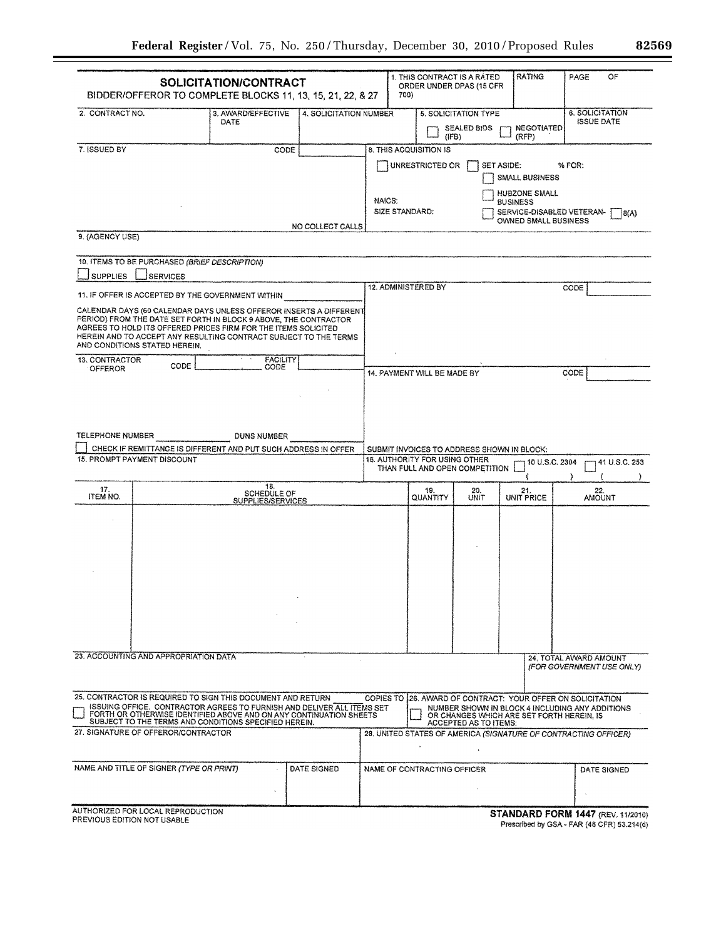|                                                                                     | <b>SOLICITATION/CONTRACT</b><br>BIDDER/OFFEROR TO COMPLETE BLOCKS 11, 13, 15, 21, 22, & 27                                                                                                                                                                           |                        |                            | 700)           |                               | 1. THIS CONTRACT IS A RATED.<br>ORDER UNDER DPAS (15 CFR                     |                 | <b>RATING</b>               | OF<br>PAGE                                                                                                                                        |
|-------------------------------------------------------------------------------------|----------------------------------------------------------------------------------------------------------------------------------------------------------------------------------------------------------------------------------------------------------------------|------------------------|----------------------------|----------------|-------------------------------|------------------------------------------------------------------------------|-----------------|-----------------------------|---------------------------------------------------------------------------------------------------------------------------------------------------|
| 2. CONTRACT NO.                                                                     | 3. AWARD/EFFECTIVE<br>DATE                                                                                                                                                                                                                                           | 4. SOLICITATION NUMBER |                            |                | (EB)                          | <b>5. SOLICITATION TYPE</b><br>SEALED BIDS                                   |                 | <b>NEGOTIATED</b><br>(RFP)  | <b>6. SOLICITATION</b><br><b>ISSUE DATE</b>                                                                                                       |
| 7. ISSUED BY                                                                        |                                                                                                                                                                                                                                                                      | CODE                   |                            |                | 8. THIS ACQUISITION IS        |                                                                              |                 |                             |                                                                                                                                                   |
|                                                                                     |                                                                                                                                                                                                                                                                      |                        |                            |                | <b>UNRESTRICTED OR</b>        |                                                                              | SET ASIDE:      | <b>SMALL BUSINESS</b>       | % FOR:                                                                                                                                            |
|                                                                                     |                                                                                                                                                                                                                                                                      |                        |                            |                |                               |                                                                              |                 | <b>HUBZONE SMALL</b>        |                                                                                                                                                   |
|                                                                                     |                                                                                                                                                                                                                                                                      |                        | NAICS:                     | SIZE STANDARD: |                               |                                                                              | <b>BUSINESS</b> | <b>OWNED SMALL BUSINESS</b> | SERVICE-DISABLED VETERAN-<br>8(A)                                                                                                                 |
|                                                                                     |                                                                                                                                                                                                                                                                      | NO COLLECT CALLS       |                            |                |                               |                                                                              |                 |                             |                                                                                                                                                   |
| 9. (AGENCY USE)                                                                     |                                                                                                                                                                                                                                                                      |                        |                            |                |                               |                                                                              |                 |                             |                                                                                                                                                   |
| 10. ITEMS TO BE PURCHASED (BRIEF DESCRIPTION)<br><b>SUPPLIES</b><br><b>SERVICES</b> |                                                                                                                                                                                                                                                                      |                        |                            |                |                               |                                                                              |                 |                             |                                                                                                                                                   |
|                                                                                     | 11. IF OFFER IS ACCEPTED BY THE GOVERNMENT WITHIN                                                                                                                                                                                                                    |                        | <b>12. ADMINISTERED BY</b> |                |                               |                                                                              |                 |                             | CODE                                                                                                                                              |
|                                                                                     | CALENDAR DAYS (60 CALENDAR DAYS UNLESS OFFEROR INSERTS A DIFFERENT                                                                                                                                                                                                   |                        |                            |                |                               |                                                                              |                 |                             |                                                                                                                                                   |
| AND CONDITIONS STATED HEREIN.                                                       | PERIOD) FROM THE DATE SET FORTH IN BLOCK 9 ABOVE, THE CONTRACTOR<br>AGREES TO HOLD ITS OFFERED PRICES FIRM FOR THE ITEMS SOLICITED<br>HEREIN AND TO ACCEPT ANY RESULTING CONTRACT SUBJECT TO THE TERMS                                                               |                        |                            |                |                               |                                                                              |                 |                             |                                                                                                                                                   |
| 13. CONTRACTOR<br><b>OFFEROR</b>                                                    | <b>FACILITY</b><br>CODE<br>CODE                                                                                                                                                                                                                                      |                        |                            |                |                               |                                                                              |                 |                             |                                                                                                                                                   |
|                                                                                     |                                                                                                                                                                                                                                                                      |                        |                            |                | 14. PAYMENT WILL BE MADE BY   |                                                                              |                 |                             | CODE                                                                                                                                              |
| TELEPHONE NUMBER<br>15. PROMPT PAYMENT DISCOUNT                                     | <b>DUNS NUMBER</b><br>CHECK IF REMITTANCE IS DIFFERENT AND PUT SUCH ADDRESS IN OFFER                                                                                                                                                                                 |                        |                            |                | 16. AUTHORITY FOR USING OTHER | SUBMIT INVOICES TO ADDRESS SHOWN IN BLOCK:<br>THAN FULL AND OPEN COMPETITION |                 | 10 U.S.C. 2304              | 41 U.S.C. 253                                                                                                                                     |
| 17.<br>ITEM NO.                                                                     | 18.<br>SCHEDULE OF<br>SUPPLIES/SERVICES                                                                                                                                                                                                                              |                        |                            |                | 19.<br>QUANTITY               | 20.<br>UNIT                                                                  |                 | 21.<br><b>UNIT PRICE</b>    | 22.<br><b>AMOUNT</b>                                                                                                                              |
|                                                                                     |                                                                                                                                                                                                                                                                      |                        |                            |                |                               |                                                                              |                 |                             |                                                                                                                                                   |
| 23. ACCOUNTING AND APPROPRIATION DATA                                               |                                                                                                                                                                                                                                                                      |                        |                            |                |                               |                                                                              |                 |                             | 24. TOTAL AWARD AMOUNT                                                                                                                            |
|                                                                                     |                                                                                                                                                                                                                                                                      |                        |                            |                |                               |                                                                              |                 |                             | (FOR GOVERNMENT USE ONLY)                                                                                                                         |
|                                                                                     | 25. CONTRACTOR IS REQUIRED TO SIGN THIS DOCUMENT AND RETURN<br>ISSUING OFFICE. CONTRACTOR AGREES TO FURNISH AND DELIVER ALL ITEMS SET<br>FORTH OR OTHERWISE IDENTIFIED ABOVE AND ON ANY CONTINUATION SHEETS<br>SUBJECT TO THE TERMS AND CONDITIONS SPECIFIED HEREIN. |                        | COPIES TO                  |                |                               | ACCEPTED AS TO ITEMS:                                                        |                 |                             | 26, AWARD OF CONTRACT: YOUR OFFER ON SOLICITATION<br>NUMBER SHOWN IN BLOCK 4 INCLUDING ANY ADDITIONS<br>OR CHANGES WHICH ARE SET FORTH HEREIN, IS |
| 27. SIGNATURE OF OFFEROR/CONTRACTOR                                                 |                                                                                                                                                                                                                                                                      |                        |                            |                |                               |                                                                              |                 |                             | 28. UNITED STATES OF AMERICA (SIGNATURE OF CONTRACTING OFFICER)                                                                                   |
| NAME AND TITLE OF SIGNER (TYPE OR PRINT)                                            |                                                                                                                                                                                                                                                                      | DATE SIGNED            |                            |                | NAME OF CONTRACTING OFFICER   |                                                                              |                 |                             | DATE SIGNED                                                                                                                                       |
|                                                                                     |                                                                                                                                                                                                                                                                      |                        |                            |                |                               |                                                                              |                 |                             |                                                                                                                                                   |
| AUTHORIZED FOR LOCAL REPRODUCTION<br>PREVIOUS EDITION NOT USABLE                    |                                                                                                                                                                                                                                                                      |                        |                            |                |                               |                                                                              |                 |                             | <b>STANDARD FORM 1447 (REV. 11/2010)</b><br>Prescribed by GSA - FAR (48 CFR) 53.214(d)                                                            |

STANDARD FORM 1447 (REV. 11/2010)<br>Prescribed by GSA - FAR (48 GFR) 53.214(d)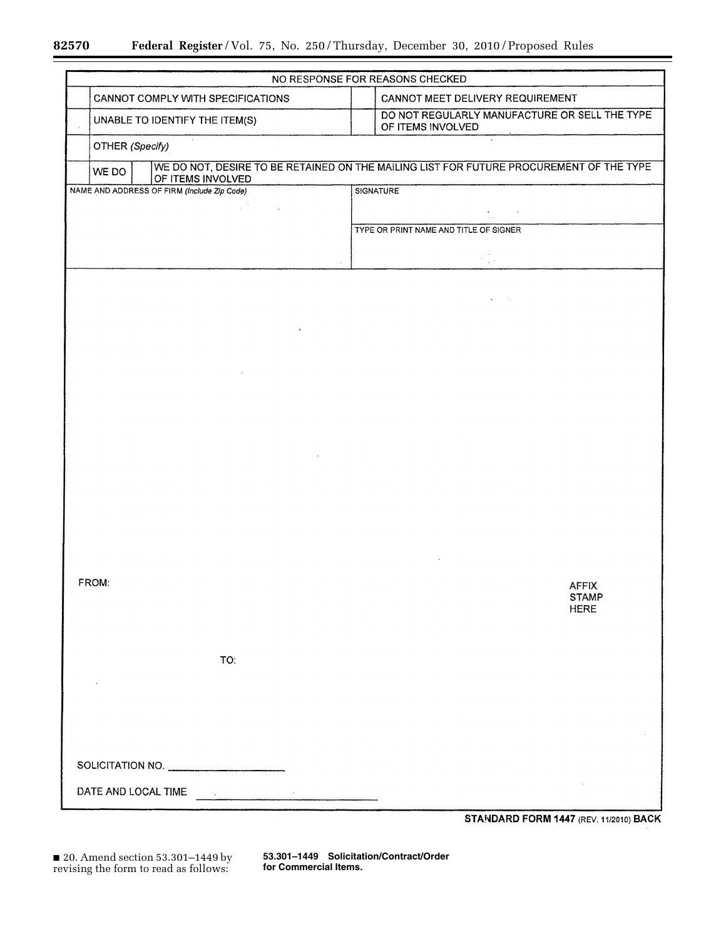-

|                                             | NO RESPONSE FOR REASONS CHECKED                                                         |  |  |  |  |  |  |
|---------------------------------------------|-----------------------------------------------------------------------------------------|--|--|--|--|--|--|
| CANNOT COMPLY WITH SPECIFICATIONS           | CANNOT MEET DELIVERY REQUIREMENT                                                        |  |  |  |  |  |  |
| UNABLE TO IDENTIFY THE ITEM(S)              | DO NOT REGULARLY MANUFACTURE OR SELL THE TYPE<br>OF ITEMS INVOLVED                      |  |  |  |  |  |  |
| OTHER (Specify)                             |                                                                                         |  |  |  |  |  |  |
| WE DO<br>OF ITEMS INVOLVED                  | WE DO NOT, DESIRE TO BE RETAINED ON THE MAILING LIST FOR FUTURE PROCUREMENT OF THE TYPE |  |  |  |  |  |  |
| NAME AND ADDRESS OF FIRM (Include Zip Code) | <b>SIGNATURE</b>                                                                        |  |  |  |  |  |  |
| $\sim 10^6$                                 | $\frac{1}{2} \frac{1}{2} \frac{1}{2} \frac{1}{2} \frac{1}{2} \frac{1}{2} \frac{1}{2}$   |  |  |  |  |  |  |
|                                             | TYPE OR PRINT NAME AND TITLE OF SIGNER                                                  |  |  |  |  |  |  |
|                                             | $\mathcal{F}(\frac{1}{2},\frac{1}{2})$                                                  |  |  |  |  |  |  |
|                                             |                                                                                         |  |  |  |  |  |  |
|                                             |                                                                                         |  |  |  |  |  |  |
| $\bullet$                                   |                                                                                         |  |  |  |  |  |  |
|                                             |                                                                                         |  |  |  |  |  |  |
|                                             |                                                                                         |  |  |  |  |  |  |
|                                             |                                                                                         |  |  |  |  |  |  |
|                                             |                                                                                         |  |  |  |  |  |  |
|                                             |                                                                                         |  |  |  |  |  |  |
|                                             |                                                                                         |  |  |  |  |  |  |
|                                             |                                                                                         |  |  |  |  |  |  |
|                                             |                                                                                         |  |  |  |  |  |  |
|                                             |                                                                                         |  |  |  |  |  |  |
|                                             |                                                                                         |  |  |  |  |  |  |
| FROM:                                       |                                                                                         |  |  |  |  |  |  |
|                                             | <b>AFFIX</b><br><b>STAMP</b>                                                            |  |  |  |  |  |  |
|                                             | <b>HERE</b>                                                                             |  |  |  |  |  |  |
|                                             |                                                                                         |  |  |  |  |  |  |
| TO:                                         |                                                                                         |  |  |  |  |  |  |
|                                             |                                                                                         |  |  |  |  |  |  |
|                                             |                                                                                         |  |  |  |  |  |  |
|                                             |                                                                                         |  |  |  |  |  |  |
|                                             |                                                                                         |  |  |  |  |  |  |
| SOLICITATION NO.                            |                                                                                         |  |  |  |  |  |  |
| DATE AND LOCAL TIME                         |                                                                                         |  |  |  |  |  |  |

STANDARD FORM 1447 (REV. 11/2010) BACK

■ 20. Amend section 53.301–1449 by revising the form to read as follows:

**53.301–1449 Solicitation/Contract/Order for Commercial Items.**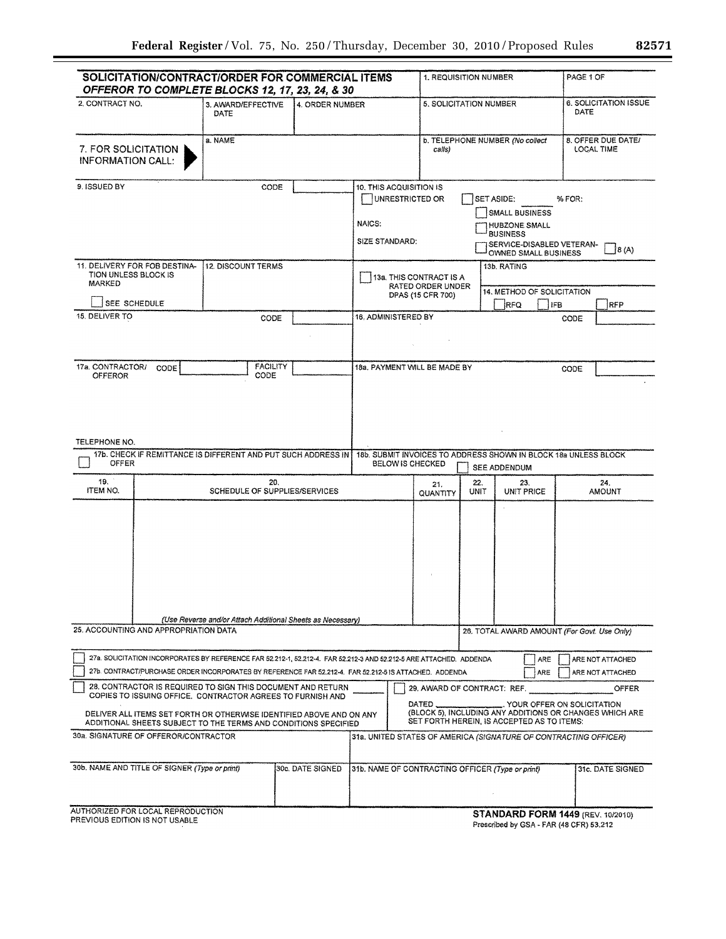Ξ

| SOLICITATION/CONTRACT/ORDER FOR COMMERCIAL ITEMS<br>OFFEROR TO COMPLETE BLOCKS 12, 17, 23, 24, & 30                                                                                                                                                                                          |                                                            |                  |                                                                                                                      | <b>1. REQUISITION NUMBER</b>                                                                                    |                               |                                                                                                                | PAGE 1 OF  |                                               |
|----------------------------------------------------------------------------------------------------------------------------------------------------------------------------------------------------------------------------------------------------------------------------------------------|------------------------------------------------------------|------------------|----------------------------------------------------------------------------------------------------------------------|-----------------------------------------------------------------------------------------------------------------|-------------------------------|----------------------------------------------------------------------------------------------------------------|------------|-----------------------------------------------|
| 2. CONTRACT NO.                                                                                                                                                                                                                                                                              | 3. AWARD/EFFECTIVE<br>DATE                                 | 4. ORDER NUMBER  |                                                                                                                      |                                                                                                                 | <b>5. SOLICITATION NUMBER</b> |                                                                                                                |            | <b>6. SOLICITATION ISSUE</b>                  |
| 7. FOR SOLICITATION<br><b>INFORMATION CALL:</b>                                                                                                                                                                                                                                              | a. NAME                                                    |                  |                                                                                                                      | b. TELEPHONE NUMBER (No collect<br>calis)                                                                       |                               |                                                                                                                | LOCAL TIME | 8. OFFER DUE DATE/                            |
| 9. ISSUED BY                                                                                                                                                                                                                                                                                 | CODE                                                       |                  | 10. THIS ACQUISITION IS<br>UNRESTRICTED OR<br>NAICS:<br>SIZE STANDARD:                                               |                                                                                                                 | SET ASIDE:                    | SMALL BUSINESS<br><b>HUBZONE SMALL</b><br><b>BUSINESS</b><br>SERVICE-DISABLED VETERAN-<br>OWNED SMALL BUSINESS | % FOR:     | $\vert$ 8 (A)                                 |
| 11. DELIVERY FOR FOB DESTINA-<br>TION UNLESS BLOCK IS<br>MARKED<br>SEE SCHEDULE                                                                                                                                                                                                              | 12. DISCOUNT TERMS<br>13a. THIS CONTRACT IS A              |                  |                                                                                                                      |                                                                                                                 |                               | 13b, RATING<br>14. METHOD OF SOLICITATION<br><b>RFQ</b>                                                        | <b>IFB</b> | RFP                                           |
| 15. DELIVER TO                                                                                                                                                                                                                                                                               | CODE                                                       |                  | 16. ADMINISTERED BY                                                                                                  |                                                                                                                 |                               |                                                                                                                | CODE       |                                               |
| 17a. CONTRACTOR/<br>CODE<br><b>OFFEROR</b><br>TELEPHONE NO.<br>17b. CHECK IF REMITTANCE IS DIFFERENT AND PUT SUCH ADDRESS IN                                                                                                                                                                 | <b>FACILITY</b><br>CODE                                    |                  |                                                                                                                      | 18a. PAYMENT WILL BE MADE BY<br>18b. SUBMIT INVOICES TO ADDRESS SHOWN IN BLOCK 18a UNLESS BLOCK                 |                               |                                                                                                                | CODE       |                                               |
| OFFER                                                                                                                                                                                                                                                                                        |                                                            |                  | <b>BELOW IS CHECKED</b>                                                                                              |                                                                                                                 | <b>SEE ADDENDUM</b>           |                                                                                                                |            |                                               |
| 19.<br>ITEM NO.                                                                                                                                                                                                                                                                              | 20.<br>SCHEDULE OF SUPPLIES/SERVICES                       |                  |                                                                                                                      | 21.<br>QUANTITY                                                                                                 | 22.<br>UNIT                   | 23.<br>UNIT PRICE                                                                                              |            | 24.<br><b>AMOUNT</b>                          |
|                                                                                                                                                                                                                                                                                              | (Use Reverse and/or Attach Additional Sheets as Necessary) |                  |                                                                                                                      |                                                                                                                 |                               |                                                                                                                |            |                                               |
| 25. ACCOUNTING AND APPROPRIATION DATA                                                                                                                                                                                                                                                        |                                                            |                  |                                                                                                                      |                                                                                                                 |                               | 26. TOTAL AWARD AMOUNT (For Govt. Use Only)                                                                    |            |                                               |
| 27a. SOLICITATION INCORPORATES BY REFERENCE FAR 52.212-1, 52.212-4. FAR 52.212-3 AND 52.212-5 ARE ATTACHED. ADDENDA<br>27b. CONTRACT/PURCHASE ORDER INCORPORATES BY REFERENCE FAR 52.212-4. FAR 52.212-5 IS ATTACHED. ADDENDA<br>28. CONTRACTOR IS REQUIRED TO SIGN THIS DOCUMENT AND RETURN |                                                            |                  |                                                                                                                      | 29. AWARD OF CONTRACT: REF.                                                                                     |                               | ARE<br><b>ARE</b>                                                                                              |            | ARE NOT ATTACHED<br>ARE NOT ATTACHED<br>OFFER |
| COPIES TO ISSUING OFFICE. CONTRACTOR AGREES TO FURNISH AND<br>DELIVER ALL ITEMS SET FORTH OR OTHERWISE IDENTIFIED ABOVE AND ON ANY<br>ADDITIONAL SHEETS SUBJECT TO THE TERMS AND CONDITIONS SPECIFIED<br>30a. SIGNATURE OF OFFEROR/CONTRACTOR                                                |                                                            |                  |                                                                                                                      | DATED.<br>(BLOCK 5), INCLUDING ANY ADDITIONS OR CHANGES WHICH ARE<br>SET FORTH HEREIN, IS ACCEPTED AS TO ITEMS: |                               | . YOUR OFFER ON SOLICITATION                                                                                   |            |                                               |
|                                                                                                                                                                                                                                                                                              |                                                            |                  |                                                                                                                      |                                                                                                                 |                               |                                                                                                                |            |                                               |
| 30b. NAME AND TITLE OF SIGNER (Type or print)                                                                                                                                                                                                                                                |                                                            | 30c. DATE SIGNED | 31a, UNITED STATES OF AMERICA (SIGNATURE OF CONTRACTING OFFICER)<br>31b. NAME OF CONTRACTING OFFICER (Type or print) |                                                                                                                 |                               |                                                                                                                |            | 31c. DATE SIGNED                              |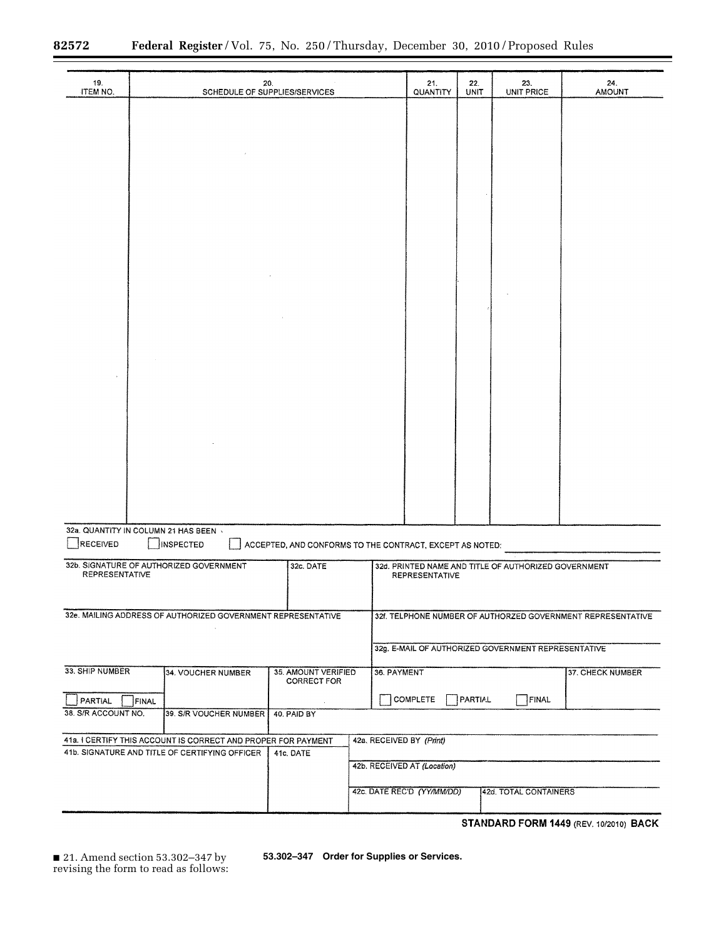۳

| 19.<br><b>ITEM NO.</b>                            |       | 20.<br>SCHEDULE OF SUPPLIES/SERVICES                          |                                                          |             | 21.<br>QUANTITY             | 22.<br>UNIT | 23.<br><b>UNIT PRICE</b>                             | 24.<br><b>AMOUNT</b>                                        |
|---------------------------------------------------|-------|---------------------------------------------------------------|----------------------------------------------------------|-------------|-----------------------------|-------------|------------------------------------------------------|-------------------------------------------------------------|
|                                                   |       |                                                               |                                                          |             |                             |             |                                                      |                                                             |
|                                                   |       |                                                               |                                                          |             |                             |             |                                                      |                                                             |
|                                                   |       |                                                               |                                                          |             |                             |             |                                                      |                                                             |
|                                                   |       |                                                               |                                                          |             |                             |             |                                                      |                                                             |
|                                                   |       |                                                               |                                                          |             |                             |             |                                                      |                                                             |
|                                                   |       |                                                               |                                                          |             |                             |             |                                                      |                                                             |
|                                                   |       |                                                               |                                                          |             |                             |             |                                                      |                                                             |
|                                                   |       |                                                               |                                                          |             |                             |             |                                                      |                                                             |
|                                                   |       |                                                               |                                                          |             |                             |             |                                                      |                                                             |
|                                                   |       |                                                               |                                                          |             |                             |             |                                                      |                                                             |
|                                                   |       |                                                               |                                                          |             |                             |             |                                                      |                                                             |
|                                                   |       |                                                               |                                                          |             |                             |             |                                                      |                                                             |
| 32a. QUANTITY IN COLUMN 21 HAS BEEN \<br>RECEIVED |       | <b>INSPECTED</b>                                              | ACCEPTED, AND CONFORMS TO THE CONTRACT, EXCEPT AS NOTED: |             |                             |             |                                                      |                                                             |
| <b>REPRESENTATIVE</b>                             |       | 32b. SIGNATURE OF AUTHORIZED GOVERNMENT                       | 32c. DATE                                                |             | <b>REPRESENTATIVE</b>       |             | 32d. PRINTED NAME AND TITLE OF AUTHORIZED GOVERNMENT |                                                             |
|                                                   |       |                                                               |                                                          |             |                             |             |                                                      |                                                             |
|                                                   |       | 32e. MAILING ADDRESS OF AUTHORIZED GOVERNMENT REPRESENTATIVE  |                                                          |             |                             |             | 32g. E-MAIL OF AUTHORIZED GOVERNMENT REPRESENTATIVE  | 32f. TELPHONE NUMBER OF AUTHORZED GOVERNMENT REPRESENTATIVE |
| 33. SHIP NUMBER                                   |       |                                                               | 35. AMOUNT VERIFIED                                      |             |                             |             |                                                      |                                                             |
| PARTIAL                                           | FINAL | 34. VOUCHER NUMBER                                            | <b>CORRECT FOR</b>                                       | 36. PAYMENT | <b>COMPLETE</b>             | PARTIAL     | FINAL                                                | 37. CHECK NUMBER                                            |
| 38. S/R ACCOUNT NO.                               |       | 39. S/R VOUCHER NUMBER                                        | 40. PAID BY                                              |             |                             |             |                                                      |                                                             |
|                                                   |       | 41a. I CERTIFY THIS ACCOUNT IS CORRECT AND PROPER FOR PAYMENT |                                                          |             | 42a. RECEIVED BY (Print)    |             |                                                      |                                                             |
|                                                   |       | 41b. SIGNATURE AND TITLE OF CERTIFYING OFFICER                | 41c, DATE                                                |             | 42b. RECEIVED AT (Location) |             |                                                      |                                                             |
|                                                   |       |                                                               |                                                          |             | 42c. DATE REC'D (YY/MM/DD)  |             | 42d. TOTAL CONTAINERS                                |                                                             |
|                                                   |       |                                                               |                                                          |             |                             |             |                                                      |                                                             |

STANDARD FORM 1449 (REV. 10/2010) BACK

■ 21. Amend section 53.302–347 by revising the form to read as follows: **53.302–347 Order for Supplies or Services.**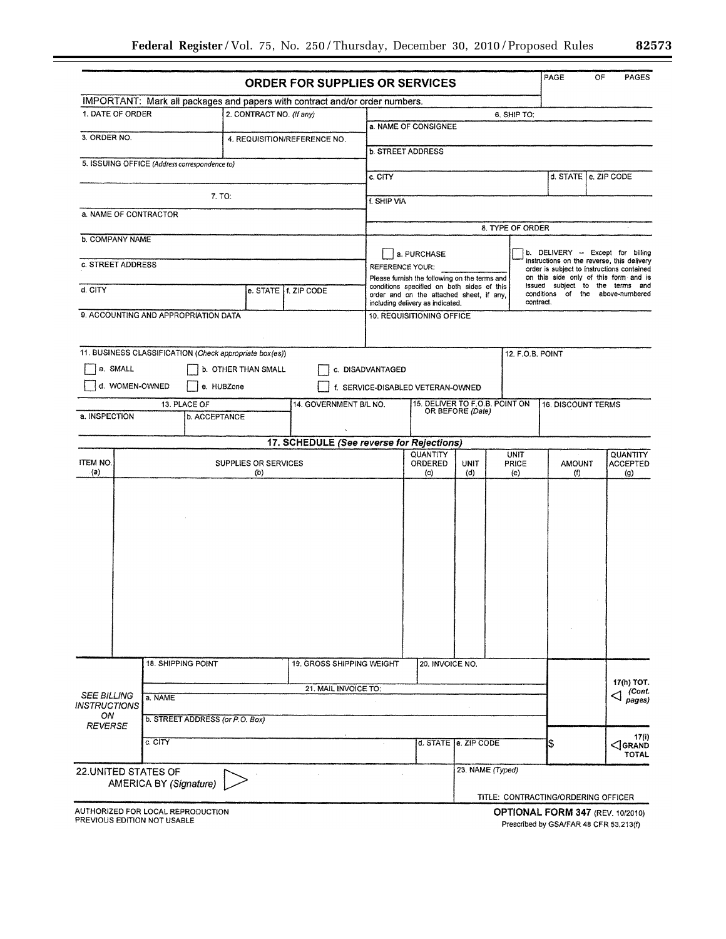| r |  |  |
|---|--|--|
| - |  |  |

÷.

|                             |                                                         |                            | <b>ORDER FOR SUPPLIES OR SERVICES</b>                                       |                  |                                                                                        |                                |                      | PAGE                                                                                | ОF<br>PAGES                            |
|-----------------------------|---------------------------------------------------------|----------------------------|-----------------------------------------------------------------------------|------------------|----------------------------------------------------------------------------------------|--------------------------------|----------------------|-------------------------------------------------------------------------------------|----------------------------------------|
|                             |                                                         |                            | IMPORTANT: Mark all packages and papers with contract and/or order numbers. |                  |                                                                                        |                                |                      |                                                                                     |                                        |
| 1. DATE OF ORDER            |                                                         | 2. CONTRACT NO. (If any)   |                                                                             |                  |                                                                                        |                                | 6, SHIP TO:          |                                                                                     |                                        |
| 3. ORDER NO.                |                                                         |                            |                                                                             |                  | a. NAME OF CONSIGNEE                                                                   |                                |                      |                                                                                     |                                        |
|                             |                                                         |                            | 4. REQUISITION/REFERENCE NO.                                                |                  | <b>b. STREET ADDRESS</b>                                                               |                                |                      |                                                                                     |                                        |
|                             | 5. ISSUING OFFICE (Address correspondence to)           |                            |                                                                             |                  |                                                                                        |                                |                      |                                                                                     |                                        |
|                             |                                                         |                            |                                                                             | c. CITY          |                                                                                        |                                |                      | d. STATE e. ZIP CODE                                                                |                                        |
|                             |                                                         | 7. TO:                     |                                                                             | f. SHIP VIA      |                                                                                        |                                |                      |                                                                                     |                                        |
| a. NAME OF CONTRACTOR       |                                                         |                            |                                                                             |                  |                                                                                        |                                |                      |                                                                                     |                                        |
|                             |                                                         |                            |                                                                             |                  |                                                                                        |                                | 8. TYPE OF ORDER     |                                                                                     |                                        |
| b. COMPANY NAME             |                                                         |                            |                                                                             |                  |                                                                                        |                                |                      |                                                                                     |                                        |
| c. STREET ADDRESS           |                                                         |                            |                                                                             |                  | a. PURCHASE                                                                            |                                |                      | b. DELIVERY -- Except for billing<br>instructions on the reverse, this delivery     |                                        |
|                             |                                                         |                            |                                                                             | REFERENCE YOUR:  | Please furnish the following on the terms and                                          |                                |                      | order is subject to instructions contained<br>on this side only of this form and is |                                        |
| d. CITY                     |                                                         |                            | e. STATE   f. ZIP CODE                                                      |                  | conditions specified on both sides of this<br>order and on the attached sheet, if any, |                                |                      | issued subject to the terms and<br>conditions of the above-numbered                 |                                        |
|                             |                                                         |                            |                                                                             |                  | including delivery as indicated.                                                       |                                | contract.            |                                                                                     |                                        |
|                             | 9. ACCOUNTING AND APPROPRIATION DATA                    |                            |                                                                             |                  | 10. REQUISITIONING OFFICE                                                              |                                |                      |                                                                                     |                                        |
|                             |                                                         |                            |                                                                             |                  |                                                                                        |                                |                      |                                                                                     |                                        |
|                             | 11. BUSINESS CLASSIFICATION (Check appropriate box(es)) |                            |                                                                             |                  |                                                                                        |                                | 12. F.O.B. POINT     |                                                                                     |                                        |
| a. SMALL                    |                                                         | <b>b. OTHER THAN SMALL</b> |                                                                             | c. DISADVANTAGED |                                                                                        |                                |                      |                                                                                     |                                        |
| d. WOMEN-OWNED              |                                                         | e. HUBZone                 |                                                                             |                  | f. SERVICE-DISABLED VETERAN-OWNED                                                      |                                |                      |                                                                                     |                                        |
|                             | 13. PLACE OF                                            |                            | 14. GOVERNMENT B/L NO.                                                      |                  |                                                                                        | 15. DELIVER TO F.O.B. POINT ON |                      | <b>16. DISCOUNT TERMS</b>                                                           |                                        |
| a. INSPECTION               | <b>b. ACCEPTANCE</b>                                    |                            |                                                                             |                  |                                                                                        | OR BEFORE (Date)               |                      |                                                                                     |                                        |
|                             |                                                         |                            |                                                                             |                  |                                                                                        |                                |                      |                                                                                     |                                        |
|                             |                                                         |                            | 17. SCHEDULE (See reverse for Rejections)                                   |                  |                                                                                        |                                |                      |                                                                                     |                                        |
| <b>ITEM NO.</b>             |                                                         | SUPPLIES OR SERVICES       |                                                                             |                  | QUANTITY<br>ORDERED                                                                    | <b>UNIT</b>                    | <b>UNIT</b><br>PRICE | <b>AMOUNT</b>                                                                       | QUANTITY<br><b>ACCEPTED</b>            |
| (a)                         |                                                         | (b)                        |                                                                             |                  | (c)                                                                                    | (d)                            | (e)                  | $\langle f \rangle$                                                                 | $\left( 9 \right)$                     |
|                             |                                                         |                            |                                                                             |                  |                                                                                        |                                |                      |                                                                                     |                                        |
|                             |                                                         |                            |                                                                             |                  |                                                                                        |                                |                      |                                                                                     |                                        |
|                             |                                                         |                            |                                                                             |                  |                                                                                        |                                |                      |                                                                                     |                                        |
|                             |                                                         |                            |                                                                             |                  |                                                                                        |                                |                      |                                                                                     |                                        |
|                             |                                                         |                            |                                                                             |                  |                                                                                        |                                |                      |                                                                                     |                                        |
|                             |                                                         |                            |                                                                             |                  |                                                                                        |                                |                      |                                                                                     |                                        |
|                             |                                                         |                            |                                                                             |                  |                                                                                        |                                |                      |                                                                                     |                                        |
|                             |                                                         |                            |                                                                             |                  |                                                                                        |                                |                      |                                                                                     |                                        |
|                             |                                                         |                            |                                                                             |                  |                                                                                        |                                |                      |                                                                                     |                                        |
|                             |                                                         |                            |                                                                             |                  |                                                                                        |                                |                      |                                                                                     |                                        |
|                             |                                                         |                            |                                                                             |                  |                                                                                        |                                |                      |                                                                                     |                                        |
|                             | 18. SHIPPING POINT                                      |                            | 19. GROSS SHIPPING WEIGHT                                                   |                  | 20. INVOICE NO.                                                                        |                                |                      |                                                                                     |                                        |
|                             |                                                         |                            |                                                                             |                  |                                                                                        |                                |                      |                                                                                     |                                        |
| <b>SEE BILLING</b>          | a. NAME                                                 |                            | 21. MAIL INVOICE TO:                                                        |                  |                                                                                        |                                |                      |                                                                                     | 17(h) TOT.<br>(Cont.<br>pages)         |
| <b>INSTRUCTIONS</b>         |                                                         |                            |                                                                             |                  |                                                                                        |                                |                      |                                                                                     |                                        |
| ON<br><b>REVERSE</b>        | b. STREET ADDRESS (or P.O. Box)                         |                            |                                                                             |                  |                                                                                        |                                |                      |                                                                                     |                                        |
|                             | c. CITY                                                 |                            |                                                                             |                  |                                                                                        | d. STATE le. ZIP CODE          |                      | \$                                                                                  | 17(i)                                  |
|                             |                                                         |                            |                                                                             |                  |                                                                                        |                                |                      |                                                                                     | $\bigtriangleup$ GRAND<br><b>TOTAL</b> |
| 22 UNITED STATES OF         |                                                         |                            |                                                                             |                  |                                                                                        | 23. NAME (Typed)               |                      |                                                                                     |                                        |
|                             | AMERICA BY (Signature)                                  |                            |                                                                             |                  |                                                                                        |                                |                      |                                                                                     |                                        |
|                             |                                                         |                            |                                                                             |                  |                                                                                        |                                |                      | TITLE: CONTRACTING/ORDERING OFFICER                                                 |                                        |
| PREVIOUS EDITION NOT USABLE | AUTHORIZED FOR LOCAL REPRODUCTION                       |                            |                                                                             |                  |                                                                                        |                                |                      | OPTIONAL FORM 347 (REV. 10/2010)                                                    |                                        |
|                             |                                                         |                            |                                                                             |                  |                                                                                        |                                |                      | Dreamhad by COAIDAD 10 CED ED 01018                                                 |                                        |

Prescribed by GSA/FAR 48 CFR 53.213(f)